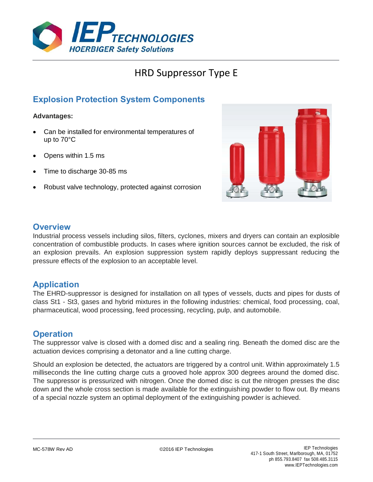

# HRD Suppressor Type E

# **Explosion Protection System Components**

#### **Advantages:**

- Can be installed for environmental temperatures of up to 70°C
- Opens within 1.5 ms
- Time to discharge 30-85 ms
- Robust valve technology, protected against corrosion



#### **Overview**

Industrial process vessels including silos, filters, cyclones, mixers and dryers can contain an explosible concentration of combustible products. In cases where ignition sources cannot be excluded, the risk of an explosion prevails. An explosion suppression system rapidly deploys suppressant reducing the pressure effects of the explosion to an acceptable level.

### **Application**

The EHRD-suppressor is designed for installation on all types of vessels, ducts and pipes for dusts of class St1 - St3, gases and hybrid mixtures in the following industries: chemical, food processing, coal, pharmaceutical, wood processing, feed processing, recycling, pulp, and automobile.

### **Operation**

The suppressor valve is closed with a domed disc and a sealing ring. Beneath the domed disc are the actuation devices comprising a detonator and a line cutting charge.

Should an explosion be detected, the actuators are triggered by a control unit. Within approximately 1.5 milliseconds the line cutting charge cuts a grooved hole approx 300 degrees around the domed disc. The suppressor is pressurized with nitrogen. Once the domed disc is cut the nitrogen presses the disc down and the whole cross section is made available for the extinguishing powder to flow out. By means of a special nozzle system an optimal deployment of the extinguishing powder is achieved.